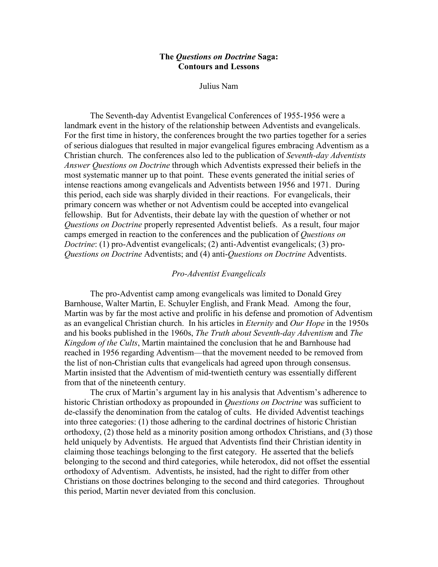## The Questions on Doctrine Saga: Contours and Lessons

Julius Nam

The Seventh-day Adventist Evangelical Conferences of 1955-1956 were a landmark event in the history of the relationship between Adventists and evangelicals. For the first time in history, the conferences brought the two parties together for a series of serious dialogues that resulted in major evangelical figures embracing Adventism as a Christian church. The conferences also led to the publication of Seventh-day Adventists Answer Questions on Doctrine through which Adventists expressed their beliefs in the most systematic manner up to that point. These events generated the initial series of intense reactions among evangelicals and Adventists between 1956 and 1971. During this period, each side was sharply divided in their reactions. For evangelicals, their primary concern was whether or not Adventism could be accepted into evangelical fellowship. But for Adventists, their debate lay with the question of whether or not Questions on Doctrine properly represented Adventist beliefs. As a result, four major camps emerged in reaction to the conferences and the publication of Questions on Doctrine: (1) pro-Adventist evangelicals; (2) anti-Adventist evangelicals; (3) pro-Questions on Doctrine Adventists; and (4) anti-Questions on Doctrine Adventists.

# Pro-Adventist Evangelicals

The pro-Adventist camp among evangelicals was limited to Donald Grey Barnhouse, Walter Martin, E. Schuyler English, and Frank Mead. Among the four, Martin was by far the most active and prolific in his defense and promotion of Adventism as an evangelical Christian church. In his articles in Eternity and Our Hope in the 1950s and his books published in the 1960s, The Truth about Seventh-day Adventism and The Kingdom of the Cults, Martin maintained the conclusion that he and Barnhouse had reached in 1956 regarding Adventism—that the movement needed to be removed from the list of non-Christian cults that evangelicals had agreed upon through consensus. Martin insisted that the Adventism of mid-twentieth century was essentially different from that of the nineteenth century.

The crux of Martin's argument lay in his analysis that Adventism's adherence to historic Christian orthodoxy as propounded in *Questions on Doctrine* was sufficient to de-classify the denomination from the catalog of cults. He divided Adventist teachings into three categories: (1) those adhering to the cardinal doctrines of historic Christian orthodoxy, (2) those held as a minority position among orthodox Christians, and (3) those held uniquely by Adventists. He argued that Adventists find their Christian identity in claiming those teachings belonging to the first category. He asserted that the beliefs belonging to the second and third categories, while heterodox, did not offset the essential orthodoxy of Adventism. Adventists, he insisted, had the right to differ from other Christians on those doctrines belonging to the second and third categories. Throughout this period, Martin never deviated from this conclusion.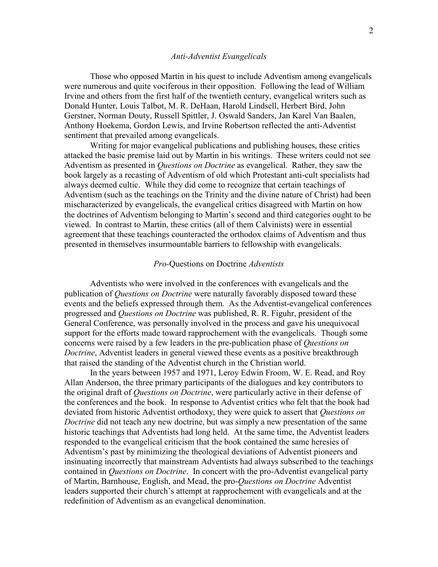### Anti-Adventist Evangelicals

Those who opposed Martin in his quest to include Adventism among evangelicals were numerous and quite vociferous in their opposition. Following the lead of William Irvine and others from the first half of the twentieth century, evangelical writers such as Donald Hunter, Louis Talbot, M. R. DeHaan, Harold Lindsell, Herbert Bird, John Gerstner, Norman Douty, Russell Spittler, J. Oswald Sanders, Jan Karel Van Baalen, Anthony Hoekema, Gordon Lewis, and Irvine Robertson reflected the anti-Adventist sentiment that prevailed among evangelicals.

Writing for major evangelical publications and publishing houses, these critics attacked the basic premise laid out by Martin in his writings. These writers could not see Adventism as presented in Questions on Doctrine as evangelical. Rather, they saw the book largely as a recasting of Adventism of old which Protestant anti-cult specialists had always deemed cultic. While they did come to recognize that certain teachings of Adventism (such as the teachings on the Trinity and the divine nature of Christ) had been mischaracterized by evangelicals, the evangelical critics disagreed with Martin on how the doctrines of Adventism belonging to Martin's second and third categories ought to be viewed. In contrast to Martin, these critics (all of them Calvinists) were in essential agreement that these teachings counteracted the orthodox claims of Adventism and thus presented in themselves insurmountable barriers to fellowship with evangelicals.

## Pro-Questions on Doctrine Adventists

Adventists who were involved in the conferences with evangelicals and the publication of *Questions on Doctrine* were naturally favorably disposed toward these events and the beliefs expressed through them. As the Adventist-evangelical conferences progressed and Questions on Doctrine was published, R. R. Figuhr, president of the General Conference, was personally involved in the process and gave his unequivocal support for the efforts made toward rapprochement with the evangelicals. Though some concerns were raised by a few leaders in the pre-publication phase of Questions on Doctrine, Adventist leaders in general viewed these events as a positive breakthrough that raised the standing of the Adventist church in the Christian world.

In the years between 1957 and 1971, Leroy Edwin Froom, W. E. Read, and Roy Allan Anderson, the three primary participants of the dialogues and key contributors to the original draft of Questions on Doctrine, were particularly active in their defense of the conferences and the book. In response to Adventist critics who felt that the book had deviated from historic Adventist orthodoxy, they were quick to assert that Questions on Doctrine did not teach any new doctrine, but was simply a new presentation of the same historic teachings that Adventists had long held. At the same time, the Adventist leaders responded to the evangelical criticism that the book contained the same heresies of Adventism's past by minimizing the theological deviations of Adventist pioneers and insinuating incorrectly that mainstream Adventists had always subscribed to the teachings contained in *Questions on Doctrine*. In concert with the pro-Adventist evangelical party of Martin, Barnhouse, English, and Mead, the pro-Questions on Doctrine Adventist leaders supported their church's attempt at rapprochement with evangelicals and at the redefinition of Adventism as an evangelical denomination.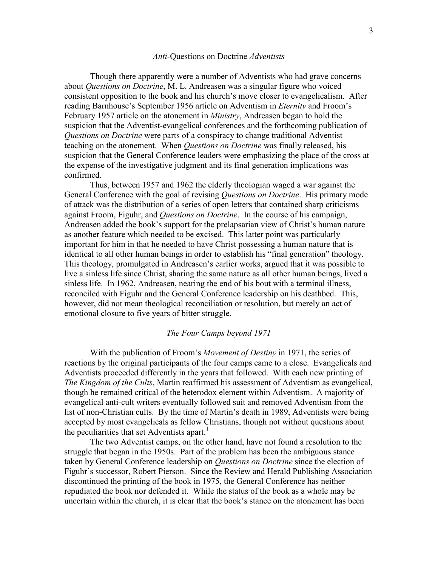#### Anti-Questions on Doctrine Adventists

Though there apparently were a number of Adventists who had grave concerns about Questions on Doctrine, M. L. Andreasen was a singular figure who voiced consistent opposition to the book and his church's move closer to evangelicalism. After reading Barnhouse's September 1956 article on Adventism in *Eternity* and Froom's February 1957 article on the atonement in Ministry, Andreasen began to hold the suspicion that the Adventist-evangelical conferences and the forthcoming publication of Questions on Doctrine were parts of a conspiracy to change traditional Adventist teaching on the atonement. When Questions on Doctrine was finally released, his suspicion that the General Conference leaders were emphasizing the place of the cross at the expense of the investigative judgment and its final generation implications was confirmed.

Thus, between 1957 and 1962 the elderly theologian waged a war against the General Conference with the goal of revising *Questions on Doctrine*. His primary mode of attack was the distribution of a series of open letters that contained sharp criticisms against Froom, Figuhr, and Questions on Doctrine. In the course of his campaign, Andreasen added the book's support for the prelapsarian view of Christ's human nature as another feature which needed to be excised. This latter point was particularly important for him in that he needed to have Christ possessing a human nature that is identical to all other human beings in order to establish his "final generation" theology. This theology, promulgated in Andreasen's earlier works, argued that it was possible to live a sinless life since Christ, sharing the same nature as all other human beings, lived a sinless life. In 1962, Andreasen, nearing the end of his bout with a terminal illness, reconciled with Figuhr and the General Conference leadership on his deathbed. This, however, did not mean theological reconciliation or resolution, but merely an act of emotional closure to five years of bitter struggle.

# The Four Camps beyond 1971

With the publication of Froom's *Movement of Destiny* in 1971, the series of reactions by the original participants of the four camps came to a close. Evangelicals and Adventists proceeded differently in the years that followed. With each new printing of The Kingdom of the Cults, Martin reaffirmed his assessment of Adventism as evangelical, though he remained critical of the heterodox element within Adventism. A majority of evangelical anti-cult writers eventually followed suit and removed Adventism from the list of non-Christian cults. By the time of Martin's death in 1989, Adventists were being accepted by most evangelicals as fellow Christians, though not without questions about the peculiarities that set Adventists apart.<sup>1</sup>

The two Adventist camps, on the other hand, have not found a resolution to the struggle that began in the 1950s. Part of the problem has been the ambiguous stance taken by General Conference leadership on Questions on Doctrine since the election of Figuhr's successor, Robert Pierson. Since the Review and Herald Publishing Association discontinued the printing of the book in 1975, the General Conference has neither repudiated the book nor defended it. While the status of the book as a whole may be uncertain within the church, it is clear that the book's stance on the atonement has been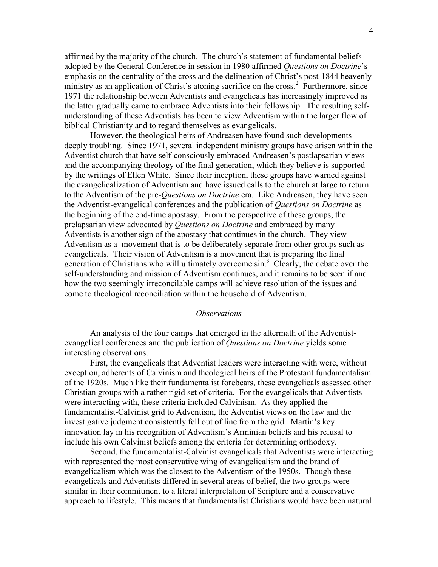affirmed by the majority of the church. The church's statement of fundamental beliefs adopted by the General Conference in session in 1980 affirmed *Questions on Doctrine*'s emphasis on the centrality of the cross and the delineation of Christ's post-1844 heavenly ministry as an application of Christ's atoning sacrifice on the cross.<sup>2</sup> Furthermore, since 1971 the relationship between Adventists and evangelicals has increasingly improved as the latter gradually came to embrace Adventists into their fellowship. The resulting selfunderstanding of these Adventists has been to view Adventism within the larger flow of biblical Christianity and to regard themselves as evangelicals.

However, the theological heirs of Andreasen have found such developments deeply troubling. Since 1971, several independent ministry groups have arisen within the Adventist church that have self-consciously embraced Andreasen's postlapsarian views and the accompanying theology of the final generation, which they believe is supported by the writings of Ellen White. Since their inception, these groups have warned against the evangelicalization of Adventism and have issued calls to the church at large to return to the Adventism of the pre-*Questions on Doctrine* era. Like Andreasen, they have seen the Adventist-evangelical conferences and the publication of Questions on Doctrine as the beginning of the end-time apostasy. From the perspective of these groups, the prelapsarian view advocated by Questions on Doctrine and embraced by many Adventists is another sign of the apostasy that continues in the church. They view Adventism as a movement that is to be deliberately separate from other groups such as evangelicals. Their vision of Adventism is a movement that is preparing the final generation of Christians who will ultimately overcome sin.<sup>3</sup> Clearly, the debate over the self-understanding and mission of Adventism continues, and it remains to be seen if and how the two seemingly irreconcilable camps will achieve resolution of the issues and come to theological reconciliation within the household of Adventism.

#### **Observations**

An analysis of the four camps that emerged in the aftermath of the Adventistevangelical conferences and the publication of *Questions on Doctrine* yields some interesting observations.

First, the evangelicals that Adventist leaders were interacting with were, without exception, adherents of Calvinism and theological heirs of the Protestant fundamentalism of the 1920s. Much like their fundamentalist forebears, these evangelicals assessed other Christian groups with a rather rigid set of criteria. For the evangelicals that Adventists were interacting with, these criteria included Calvinism. As they applied the fundamentalist-Calvinist grid to Adventism, the Adventist views on the law and the investigative judgment consistently fell out of line from the grid. Martin's key innovation lay in his recognition of Adventism's Arminian beliefs and his refusal to include his own Calvinist beliefs among the criteria for determining orthodoxy.

Second, the fundamentalist-Calvinist evangelicals that Adventists were interacting with represented the most conservative wing of evangelicalism and the brand of evangelicalism which was the closest to the Adventism of the 1950s. Though these evangelicals and Adventists differed in several areas of belief, the two groups were similar in their commitment to a literal interpretation of Scripture and a conservative approach to lifestyle. This means that fundamentalist Christians would have been natural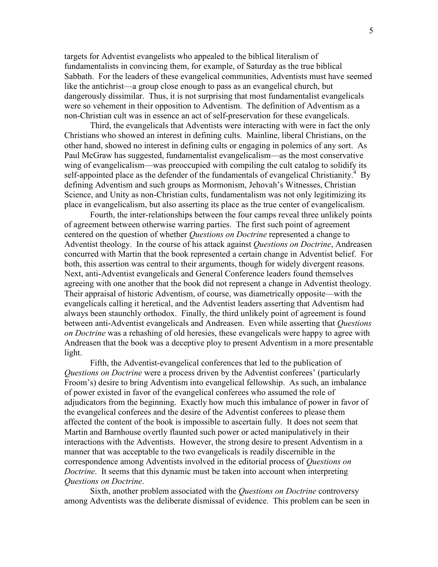targets for Adventist evangelists who appealed to the biblical literalism of fundamentalists in convincing them, for example, of Saturday as the true biblical Sabbath. For the leaders of these evangelical communities, Adventists must have seemed like the antichrist—a group close enough to pass as an evangelical church, but dangerously dissimilar. Thus, it is not surprising that most fundamentalist evangelicals were so vehement in their opposition to Adventism. The definition of Adventism as a non-Christian cult was in essence an act of self-preservation for these evangelicals.

Third, the evangelicals that Adventists were interacting with were in fact the only Christians who showed an interest in defining cults. Mainline, liberal Christians, on the other hand, showed no interest in defining cults or engaging in polemics of any sort. As Paul McGraw has suggested, fundamentalist evangelicalism—as the most conservative wing of evangelicalism—was preoccupied with compiling the cult catalog to solidify its self-appointed place as the defender of the fundamentals of evangelical Christianity.<sup>4</sup> By defining Adventism and such groups as Mormonism, Jehovah's Witnesses, Christian Science, and Unity as non-Christian cults, fundamentalism was not only legitimizing its place in evangelicalism, but also asserting its place as the true center of evangelicalism.

Fourth, the inter-relationships between the four camps reveal three unlikely points of agreement between otherwise warring parties. The first such point of agreement centered on the question of whether *Questions on Doctrine* represented a change to Adventist theology. In the course of his attack against Questions on Doctrine, Andreasen concurred with Martin that the book represented a certain change in Adventist belief. For both, this assertion was central to their arguments, though for widely divergent reasons. Next, anti-Adventist evangelicals and General Conference leaders found themselves agreeing with one another that the book did not represent a change in Adventist theology. Their appraisal of historic Adventism, of course, was diametrically opposite—with the evangelicals calling it heretical, and the Adventist leaders asserting that Adventism had always been staunchly orthodox. Finally, the third unlikely point of agreement is found between anti-Adventist evangelicals and Andreasen. Even while asserting that *Questions* on Doctrine was a rehashing of old heresies, these evangelicals were happy to agree with Andreasen that the book was a deceptive ploy to present Adventism in a more presentable light.

Fifth, the Adventist-evangelical conferences that led to the publication of Questions on Doctrine were a process driven by the Adventist conferees' (particularly Froom's) desire to bring Adventism into evangelical fellowship. As such, an imbalance of power existed in favor of the evangelical conferees who assumed the role of adjudicators from the beginning. Exactly how much this imbalance of power in favor of the evangelical conferees and the desire of the Adventist conferees to please them affected the content of the book is impossible to ascertain fully. It does not seem that Martin and Barnhouse overtly flaunted such power or acted manipulatively in their interactions with the Adventists. However, the strong desire to present Adventism in a manner that was acceptable to the two evangelicals is readily discernible in the correspondence among Adventists involved in the editorial process of Questions on Doctrine. It seems that this dynamic must be taken into account when interpreting Questions on Doctrine.

Sixth, another problem associated with the Questions on Doctrine controversy among Adventists was the deliberate dismissal of evidence. This problem can be seen in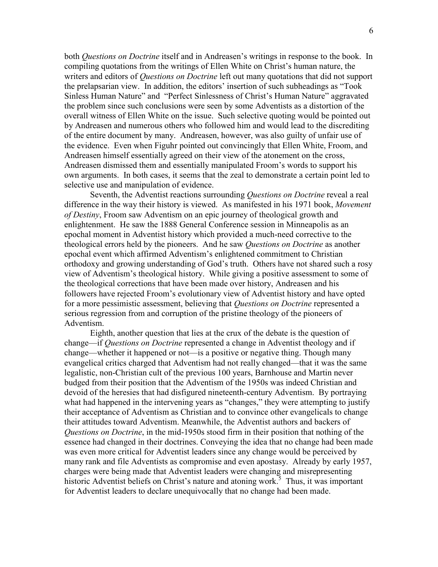both *Questions on Doctrine* itself and in Andreasen's writings in response to the book. In compiling quotations from the writings of Ellen White on Christ's human nature, the writers and editors of *Questions on Doctrine* left out many quotations that did not support the prelapsarian view. In addition, the editors' insertion of such subheadings as "Took Sinless Human Nature" and "Perfect Sinlessness of Christ's Human Nature" aggravated the problem since such conclusions were seen by some Adventists as a distortion of the overall witness of Ellen White on the issue. Such selective quoting would be pointed out by Andreasen and numerous others who followed him and would lead to the discrediting of the entire document by many. Andreasen, however, was also guilty of unfair use of the evidence. Even when Figuhr pointed out convincingly that Ellen White, Froom, and Andreasen himself essentially agreed on their view of the atonement on the cross, Andreasen dismissed them and essentially manipulated Froom's words to support his own arguments. In both cases, it seems that the zeal to demonstrate a certain point led to selective use and manipulation of evidence.

Seventh, the Adventist reactions surrounding *Questions on Doctrine* reveal a real difference in the way their history is viewed. As manifested in his 1971 book, Movement of Destiny, Froom saw Adventism on an epic journey of theological growth and enlightenment. He saw the 1888 General Conference session in Minneapolis as an epochal moment in Adventist history which provided a much-need corrective to the theological errors held by the pioneers. And he saw Questions on Doctrine as another epochal event which affirmed Adventism's enlightened commitment to Christian orthodoxy and growing understanding of God's truth. Others have not shared such a rosy view of Adventism's theological history. While giving a positive assessment to some of the theological corrections that have been made over history, Andreasen and his followers have rejected Froom's evolutionary view of Adventist history and have opted for a more pessimistic assessment, believing that *Questions on Doctrine* represented a serious regression from and corruption of the pristine theology of the pioneers of Adventism.

Eighth, another question that lies at the crux of the debate is the question of change—if *Questions on Doctrine* represented a change in Adventist theology and if change—whether it happened or not—is a positive or negative thing. Though many evangelical critics charged that Adventism had not really changed—that it was the same legalistic, non-Christian cult of the previous 100 years, Barnhouse and Martin never budged from their position that the Adventism of the 1950s was indeed Christian and devoid of the heresies that had disfigured nineteenth-century Adventism. By portraying what had happened in the intervening years as "changes," they were attempting to justify their acceptance of Adventism as Christian and to convince other evangelicals to change their attitudes toward Adventism. Meanwhile, the Adventist authors and backers of Questions on Doctrine, in the mid-1950s stood firm in their position that nothing of the essence had changed in their doctrines. Conveying the idea that no change had been made was even more critical for Adventist leaders since any change would be perceived by many rank and file Adventists as compromise and even apostasy. Already by early 1957, charges were being made that Adventist leaders were changing and misrepresenting historic Adventist beliefs on Christ's nature and atoning work.<sup>5</sup> Thus, it was important for Adventist leaders to declare unequivocally that no change had been made.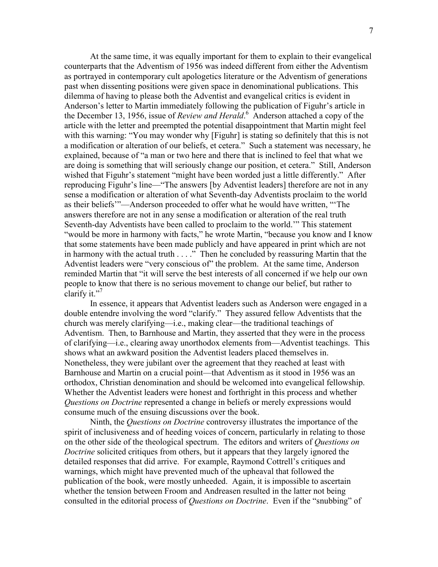At the same time, it was equally important for them to explain to their evangelical counterparts that the Adventism of 1956 was indeed different from either the Adventism as portrayed in contemporary cult apologetics literature or the Adventism of generations past when dissenting positions were given space in denominational publications. This dilemma of having to please both the Adventist and evangelical critics is evident in Anderson's letter to Martin immediately following the publication of Figuhr's article in the December 13, 1956, issue of Review and Herald.<sup>6</sup> Anderson attached a copy of the article with the letter and preempted the potential disappointment that Martin might feel with this warning: "You may wonder why [Figuhr] is stating so definitely that this is not a modification or alteration of our beliefs, et cetera." Such a statement was necessary, he explained, because of "a man or two here and there that is inclined to feel that what we are doing is something that will seriously change our position, et cetera." Still, Anderson wished that Figuhr's statement "might have been worded just a little differently." After reproducing Figuhr's line—"The answers [by Adventist leaders] therefore are not in any sense a modification or alteration of what Seventh-day Adventists proclaim to the world as their beliefs'"—Anderson proceeded to offer what he would have written, "'The answers therefore are not in any sense a modification or alteration of the real truth Seventh-day Adventists have been called to proclaim to the world.'" This statement "would be more in harmony with facts," he wrote Martin, "because you know and I know that some statements have been made publicly and have appeared in print which are not in harmony with the actual truth . . . ." Then he concluded by reassuring Martin that the Adventist leaders were "very conscious of" the problem. At the same time, Anderson reminded Martin that "it will serve the best interests of all concerned if we help our own people to know that there is no serious movement to change our belief, but rather to clarify it." $7$ 

In essence, it appears that Adventist leaders such as Anderson were engaged in a double entendre involving the word "clarify." They assured fellow Adventists that the church was merely clarifying—i.e., making clear—the traditional teachings of Adventism. Then, to Barnhouse and Martin, they asserted that they were in the process of clarifying—i.e., clearing away unorthodox elements from—Adventist teachings. This shows what an awkward position the Adventist leaders placed themselves in. Nonetheless, they were jubilant over the agreement that they reached at least with Barnhouse and Martin on a crucial point—that Adventism as it stood in 1956 was an orthodox, Christian denomination and should be welcomed into evangelical fellowship. Whether the Adventist leaders were honest and forthright in this process and whether Questions on Doctrine represented a change in beliefs or merely expressions would consume much of the ensuing discussions over the book.

Ninth, the Questions on Doctrine controversy illustrates the importance of the spirit of inclusiveness and of heeding voices of concern, particularly in relating to those on the other side of the theological spectrum. The editors and writers of *Questions on* Doctrine solicited critiques from others, but it appears that they largely ignored the detailed responses that did arrive. For example, Raymond Cottrell's critiques and warnings, which might have prevented much of the upheaval that followed the publication of the book, were mostly unheeded. Again, it is impossible to ascertain whether the tension between Froom and Andreasen resulted in the latter not being consulted in the editorial process of *Ouestions on Doctrine*. Even if the "snubbing" of